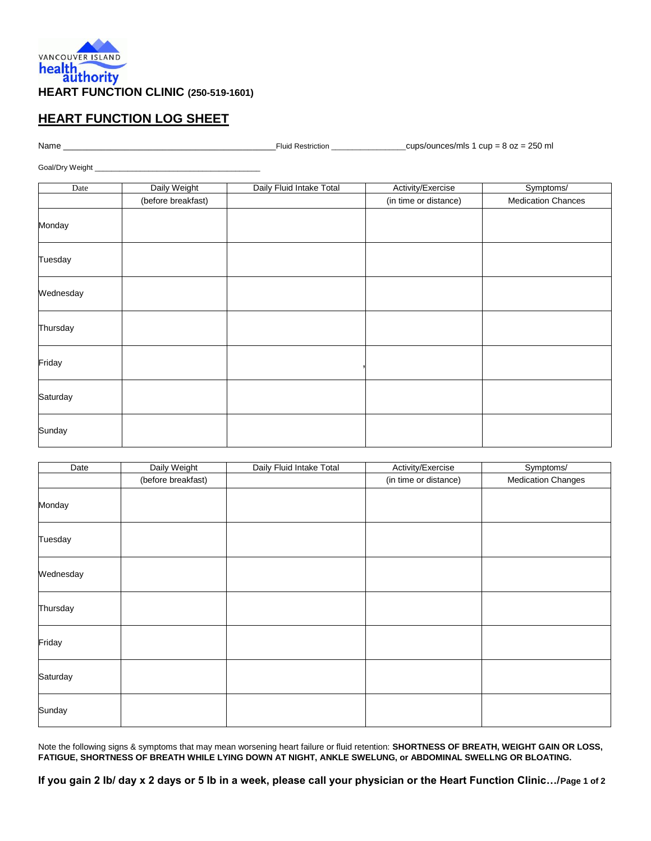

## **HEART FUNCTION LOG SHEET**

Name \_\_\_\_\_\_\_\_\_\_\_\_\_\_\_\_\_\_\_\_\_\_\_\_\_\_\_\_\_\_\_\_\_\_\_\_\_\_\_\_\_\_\_\_\_Fluid Restriction \_\_\_\_\_\_\_\_\_\_\_\_\_\_\_\_\_\_cups/ounces/mls 1 cup = 8 oz = 250 ml

Goal/Dry Weight \_\_\_\_\_

| Date      | Daily Weight       | Daily Fluid Intake Total | Activity/Exercise     | Symptoms/                 |
|-----------|--------------------|--------------------------|-----------------------|---------------------------|
|           | (before breakfast) |                          | (in time or distance) | <b>Medication Chances</b> |
| Monday    |                    |                          |                       |                           |
| Tuesday   |                    |                          |                       |                           |
| Wednesday |                    |                          |                       |                           |
| Thursday  |                    |                          |                       |                           |
| Friday    |                    |                          |                       |                           |
| Saturday  |                    |                          |                       |                           |
| Sunday    |                    |                          |                       |                           |

| Date      | Daily Weight       | Daily Fluid Intake Total | Activity/Exercise     | Symptoms/                 |
|-----------|--------------------|--------------------------|-----------------------|---------------------------|
|           | (before breakfast) |                          | (in time or distance) | <b>Medication Changes</b> |
| Monday    |                    |                          |                       |                           |
| Tuesday   |                    |                          |                       |                           |
| Wednesday |                    |                          |                       |                           |
| Thursday  |                    |                          |                       |                           |
| Friday    |                    |                          |                       |                           |
| Saturday  |                    |                          |                       |                           |
| Sunday    |                    |                          |                       |                           |

Note the following signs & symptoms that may mean worsening heart failure or fluid retention: **SHORTNESS OF BREATH, WEIGHT GAIN OR LOSS, FATIGUE, SHORTNESS OF BREATH WHILE LYING DOWN AT NIGHT, ANKLE SWELUNG, or ABDOMINAL SWELLNG OR BLOATING.**

**If you gain 2 Ib/ day x 2 days or 5 Ib in a week, please call your physician or the Heart Function Clinic…/Page 1 of 2**